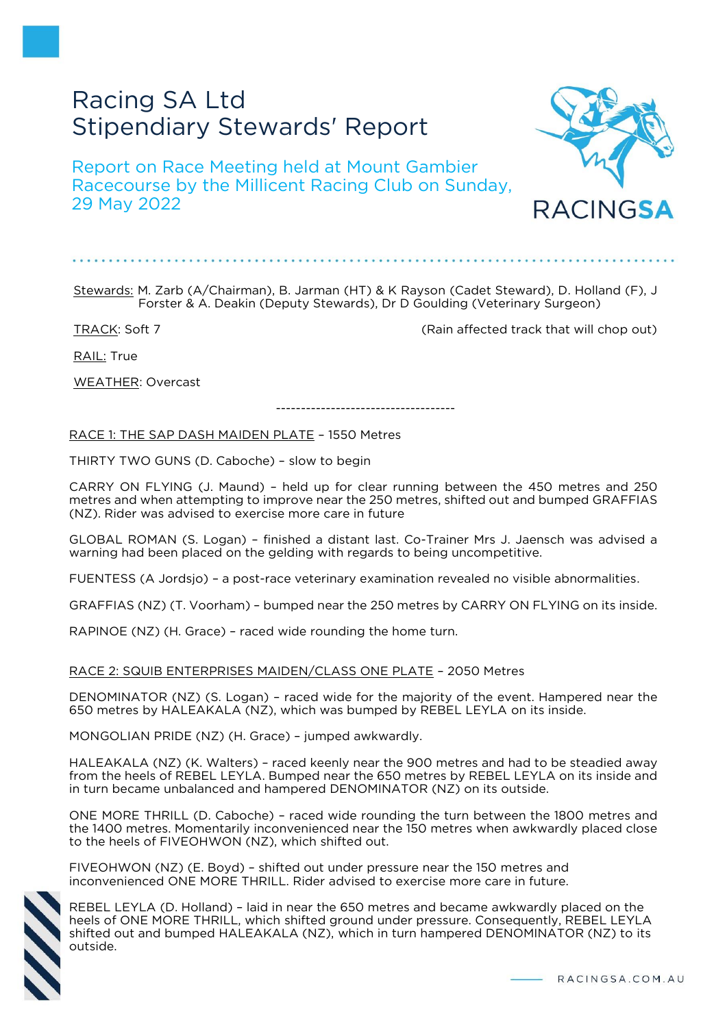# Racing SA Ltd Stipendiary Stewards' Report

Report on Race Meeting held at Mount Gambier Racecourse by the Millicent Racing Club on Sunday, 29 May 2022



TRACK: Soft 7 (Rain affected track that will chop out)

RAIL: True

WEATHER: Overcast

RACE 1: THE SAP DASH MAIDEN PLATE – 1550 Metres

THIRTY TWO GUNS (D. Caboche) – slow to begin

CARRY ON FLYING (J. Maund) – held up for clear running between the 450 metres and 250 metres and when attempting to improve near the 250 metres, shifted out and bumped GRAFFIAS (NZ). Rider was advised to exercise more care in future

------------------------------------

GLOBAL ROMAN (S. Logan) – finished a distant last. Co-Trainer Mrs J. Jaensch was advised a warning had been placed on the gelding with regards to being uncompetitive.

FUENTESS (A Jordsjo) – a post-race veterinary examination revealed no visible abnormalities.

GRAFFIAS (NZ) (T. Voorham) – bumped near the 250 metres by CARRY ON FLYING on its inside.

RAPINOE (NZ) (H. Grace) – raced wide rounding the home turn.

RACE 2: SQUIB ENTERPRISES MAIDEN/CLASS ONE PLATE – 2050 Metres

DENOMINATOR (NZ) (S. Logan) – raced wide for the majority of the event. Hampered near the 650 metres by HALEAKALA (NZ), which was bumped by REBEL LEYLA on its inside.

MONGOLIAN PRIDE (NZ) (H. Grace) – jumped awkwardly.

HALEAKALA (NZ) (K. Walters) – raced keenly near the 900 metres and had to be steadied away from the heels of REBEL LEYLA. Bumped near the 650 metres by REBEL LEYLA on its inside and in turn became unbalanced and hampered DENOMINATOR (NZ) on its outside.

ONE MORE THRILL (D. Caboche) – raced wide rounding the turn between the 1800 metres and the 1400 metres. Momentarily inconvenienced near the 150 metres when awkwardly placed close to the heels of FIVEOHWON (NZ), which shifted out.

FIVEOHWON (NZ) (E. Boyd) – shifted out under pressure near the 150 metres and inconvenienced ONE MORE THRILL. Rider advised to exercise more care in future.

REBEL LEYLA (D. Holland) – laid in near the 650 metres and became awkwardly placed on the heels of ONE MORE THRILL, which shifted ground under pressure. Consequently, REBEL LEYLA shifted out and bumped HALEAKALA (NZ), which in turn hampered DENOMINATOR (NZ) to its outside.

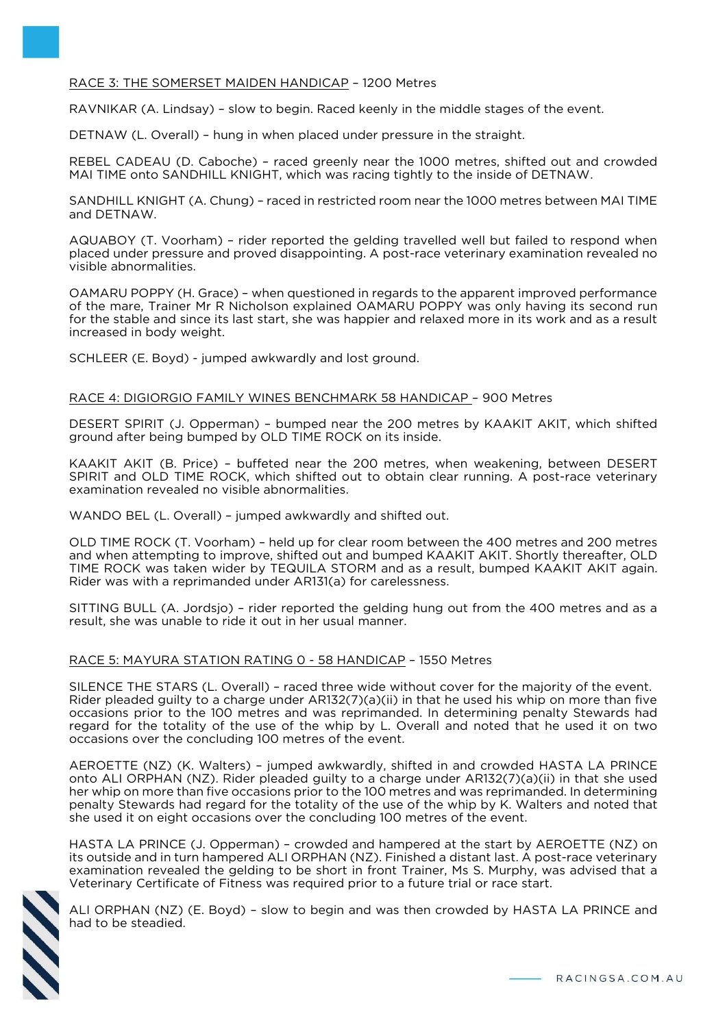# RACE 3: THE SOMERSET MAIDEN HANDICAP – 1200 Metres

RAVNIKAR (A. Lindsay) – slow to begin. Raced keenly in the middle stages of the event.

DETNAW (L. Overall) – hung in when placed under pressure in the straight.

REBEL CADEAU (D. Caboche) – raced greenly near the 1000 metres, shifted out and crowded MAI TIME onto SANDHILL KNIGHT, which was racing tightly to the inside of DETNAW.

SANDHILL KNIGHT (A. Chung) – raced in restricted room near the 1000 metres between MAI TIME and DETNAW.

AQUABOY (T. Voorham) – rider reported the gelding travelled well but failed to respond when placed under pressure and proved disappointing. A post-race veterinary examination revealed no visible abnormalities.

OAMARU POPPY (H. Grace) – when questioned in regards to the apparent improved performance of the mare, Trainer Mr R Nicholson explained OAMARU POPPY was only having its second run for the stable and since its last start, she was happier and relaxed more in its work and as a result increased in body weight.

SCHLEER (E. Boyd) - jumped awkwardly and lost ground.

### RACE 4: DIGIORGIO FAMILY WINES BENCHMARK 58 HANDICAP – 900 Metres

DESERT SPIRIT (J. Opperman) – bumped near the 200 metres by KAAKIT AKIT, which shifted ground after being bumped by OLD TIME ROCK on its inside.

KAAKIT AKIT (B. Price) – buffeted near the 200 metres, when weakening, between DESERT SPIRIT and OLD TIME ROCK, which shifted out to obtain clear running. A post-race veterinary examination revealed no visible abnormalities.

WANDO BEL (L. Overall) – jumped awkwardly and shifted out.

OLD TIME ROCK (T. Voorham) – held up for clear room between the 400 metres and 200 metres and when attempting to improve, shifted out and bumped KAAKIT AKIT. Shortly thereafter, OLD TIME ROCK was taken wider by TEQUILA STORM and as a result, bumped KAAKIT AKIT again. Rider was with a reprimanded under AR131(a) for carelessness.

SITTING BULL (A. Jordsjo) – rider reported the gelding hung out from the 400 metres and as a result, she was unable to ride it out in her usual manner.

# RACE 5: MAYURA STATION RATING 0 - 58 HANDICAP – 1550 Metres

SILENCE THE STARS (L. Overall) – raced three wide without cover for the majority of the event. Rider pleaded guilty to a charge under AR132(7)(a)(ii) in that he used his whip on more than five occasions prior to the 100 metres and was reprimanded. In determining penalty Stewards had regard for the totality of the use of the whip by L. Overall and noted that he used it on two occasions over the concluding 100 metres of the event.

AEROETTE (NZ) (K. Walters) – jumped awkwardly, shifted in and crowded HASTA LA PRINCE onto ALI ORPHAN (NZ). Rider pleaded guilty to a charge under AR132(7)(a)(ii) in that she used her whip on more than five occasions prior to the 100 metres and was reprimanded. In determining penalty Stewards had regard for the totality of the use of the whip by K. Walters and noted that she used it on eight occasions over the concluding 100 metres of the event.

HASTA LA PRINCE (J. Opperman) – crowded and hampered at the start by AEROETTE (NZ) on its outside and in turn hampered ALI ORPHAN (NZ). Finished a distant last. A post-race veterinary examination revealed the gelding to be short in front Trainer, Ms S. Murphy, was advised that a Veterinary Certificate of Fitness was required prior to a future trial or race start.



ALI ORPHAN (NZ) (E. Boyd) – slow to begin and was then crowded by HASTA LA PRINCE and had to be steadied.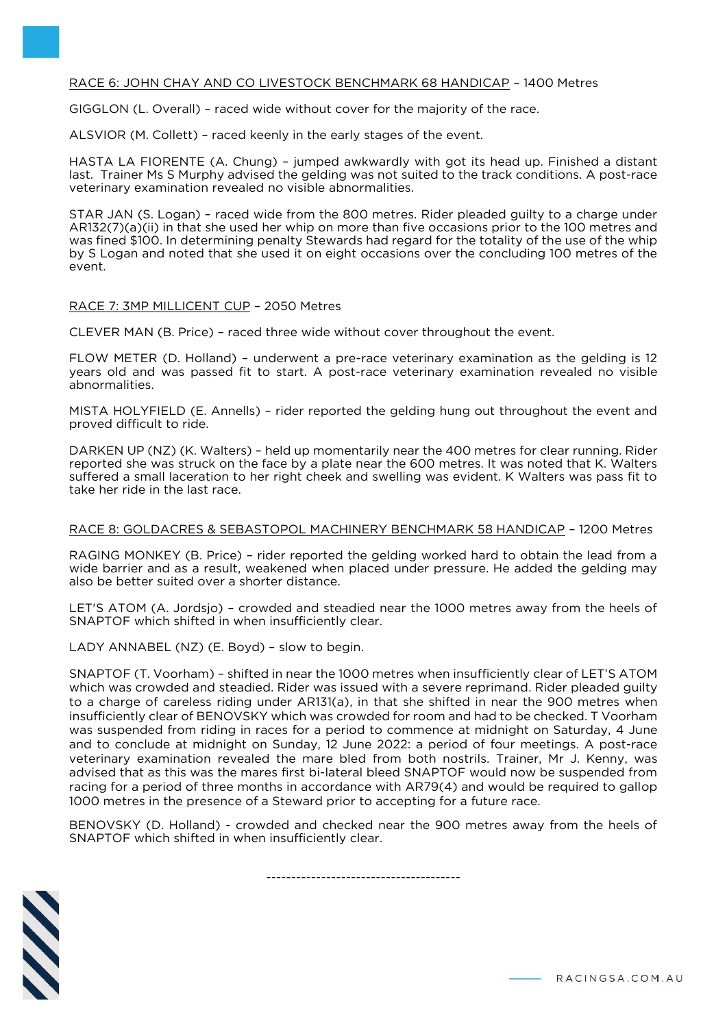# RACE 6: JOHN CHAY AND CO LIVESTOCK BENCHMARK 68 HANDICAP – 1400 Metres

GIGGLON (L. Overall) – raced wide without cover for the majority of the race.

ALSVIOR (M. Collett) – raced keenly in the early stages of the event.

HASTA LA FIORENTE (A. Chung) – jumped awkwardly with got its head up. Finished a distant last. Trainer Ms S Murphy advised the gelding was not suited to the track conditions. A post-race veterinary examination revealed no visible abnormalities.

STAR JAN (S. Logan) – raced wide from the 800 metres. Rider pleaded guilty to a charge under AR132(7)(a)(ii) in that she used her whip on more than five occasions prior to the 100 metres and was fined \$100. In determining penalty Stewards had regard for the totality of the use of the whip by S Logan and noted that she used it on eight occasions over the concluding 100 metres of the event.

### RACE 7: 3MP MILLICENT CUP – 2050 Metres

CLEVER MAN (B. Price) – raced three wide without cover throughout the event.

FLOW METER (D. Holland) – underwent a pre-race veterinary examination as the gelding is 12 years old and was passed fit to start. A post-race veterinary examination revealed no visible abnormalities.

MISTA HOLYFIELD (E. Annells) – rider reported the gelding hung out throughout the event and proved difficult to ride.

DARKEN UP (NZ) (K. Walters) – held up momentarily near the 400 metres for clear running. Rider reported she was struck on the face by a plate near the 600 metres. It was noted that K. Walters suffered a small laceration to her right cheek and swelling was evident. K Walters was pass fit to take her ride in the last race.

#### RACE 8: GOLDACRES & SEBASTOPOL MACHINERY BENCHMARK 58 HANDICAP – 1200 Metres

RAGING MONKEY (B. Price) – rider reported the gelding worked hard to obtain the lead from a wide barrier and as a result, weakened when placed under pressure. He added the gelding may also be better suited over a shorter distance.

LET'S ATOM (A. Jordsjo) – crowded and steadied near the 1000 metres away from the heels of SNAPTOF which shifted in when insufficiently clear.

LADY ANNABEL (NZ) (E. Boyd) – slow to begin.

SNAPTOF (T. Voorham) – shifted in near the 1000 metres when insufficiently clear of LET'S ATOM which was crowded and steadied. Rider was issued with a severe reprimand. Rider pleaded guilty to a charge of careless riding under AR131(a), in that she shifted in near the 900 metres when insufficiently clear of BENOVSKY which was crowded for room and had to be checked. T Voorham was suspended from riding in races for a period to commence at midnight on Saturday, 4 June and to conclude at midnight on Sunday, 12 June 2022: a period of four meetings. A post-race veterinary examination revealed the mare bled from both nostrils. Trainer, Mr J. Kenny, was advised that as this was the mares first bi-lateral bleed SNAPTOF would now be suspended from racing for a period of three months in accordance with AR79(4) and would be required to gallop 1000 metres in the presence of a Steward prior to accepting for a future race.

BENOVSKY (D. Holland) - crowded and checked near the 900 metres away from the heels of SNAPTOF which shifted in when insufficiently clear.

---------------------------------------